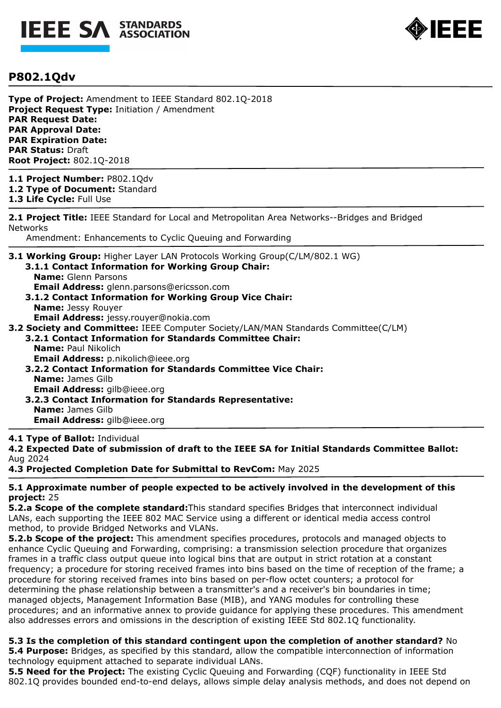



# **P802.1Qdv**

**Type of Project:** Amendment to IEEE Standard 802.1Q-2018 **Project Request Type:** Initiation / Amendment **PAR Request Date: PAR Approval Date: PAR Expiration Date: PAR Status:** Draft **Root Project:** 802.1Q-2018

**1.1 Project Number:** P802.1Qdv **1.2 Type of Document:** Standard

**1.3 Life Cycle:** Full Use

**2.1 Project Title:** IEEE Standard for Local and Metropolitan Area Networks--Bridges and Bridged **Networks** 

Amendment: Enhancements to Cyclic Queuing and Forwarding

**3.1 Working Group:** Higher Layer LAN Protocols Working Group(C/LM/802.1 WG)

- **3.1.1 Contact Information for Working Group Chair: Name:** Glenn Parsons
	- **Email Address:** glenn.parsons@ericsson.com
- **3.1.2 Contact Information for Working Group Vice Chair: Name:** Jessy Rouyer **Email Address:** jessy.rouyer@nokia.com
- **3.2 Society and Committee:** IEEE Computer Society/LAN/MAN Standards Committee(C/LM)
	- **3.2.1 Contact Information for Standards Committee Chair: Name:** Paul Nikolich **Email Address:** p.nikolich@ieee.org
		- **3.2.2 Contact Information for Standards Committee Vice Chair: Name:** James Gilb **Email Address:** gilb@ieee.org
		- **3.2.3 Contact Information for Standards Representative: Name:** James Gilb **Email Address:** gilb@ieee.org

### **4.1 Type of Ballot:** Individual

**4.2 Expected Date of submission of draft to the IEEE SA for Initial Standards Committee Ballot:**  Aug 2024

**4.3 Projected Completion Date for Submittal to RevCom:** May 2025

**5.1 Approximate number of people expected to be actively involved in the development of this project:** 25

**5.2.a Scope of the complete standard:**This standard specifies Bridges that interconnect individual LANs, each supporting the IEEE 802 MAC Service using a different or identical media access control method, to provide Bridged Networks and VLANs.

**5.2.b Scope of the project:** This amendment specifies procedures, protocols and managed objects to enhance Cyclic Queuing and Forwarding, comprising: a transmission selection procedure that organizes frames in a traffic class output queue into logical bins that are output in strict rotation at a constant frequency; a procedure for storing received frames into bins based on the time of reception of the frame; a procedure for storing received frames into bins based on per-flow octet counters; a protocol for determining the phase relationship between a transmitter's and a receiver's bin boundaries in time; managed objects, Management Information Base (MIB), and YANG modules for controlling these procedures; and an informative annex to provide guidance for applying these procedures. This amendment also addresses errors and omissions in the description of existing IEEE Std 802.1Q functionality.

#### **5.3 Is the completion of this standard contingent upon the completion of another standard?** No **5.4 Purpose:** Bridges, as specified by this standard, allow the compatible interconnection of information

technology equipment attached to separate individual LANs.

**5.5 Need for the Project:** The existing Cyclic Queuing and Forwarding (CQF) functionality in IEEE Std 802.1Q provides bounded end-to-end delays, allows simple delay analysis methods, and does not depend on